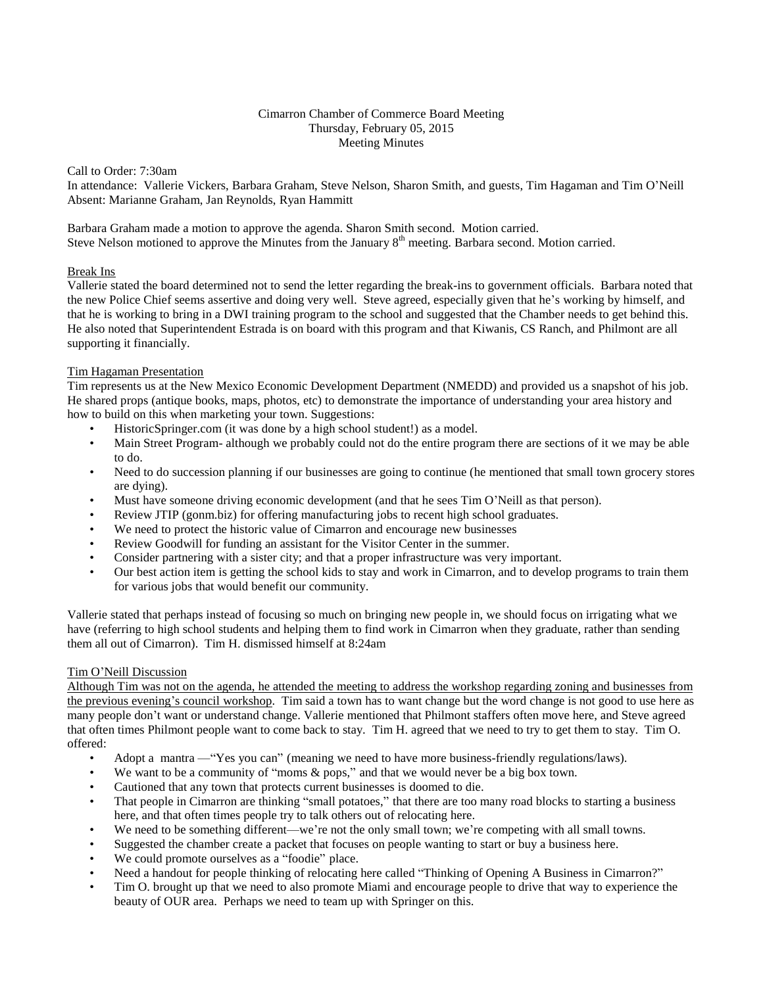## Cimarron Chamber of Commerce Board Meeting Thursday, February 05, 2015 Meeting Minutes

Call to Order: 7:30am

In attendance: Vallerie Vickers, Barbara Graham, Steve Nelson, Sharon Smith, and guests, Tim Hagaman and Tim O'Neill Absent: Marianne Graham, Jan Reynolds, Ryan Hammitt

Barbara Graham made a motion to approve the agenda. Sharon Smith second. Motion carried. Steve Nelson motioned to approve the Minutes from the January  $8<sup>th</sup>$  meeting. Barbara second. Motion carried.

## Break Ins

Vallerie stated the board determined not to send the letter regarding the break-ins to government officials. Barbara noted that the new Police Chief seems assertive and doing very well. Steve agreed, especially given that he's working by himself, and that he is working to bring in a DWI training program to the school and suggested that the Chamber needs to get behind this. He also noted that Superintendent Estrada is on board with this program and that Kiwanis, CS Ranch, and Philmont are all supporting it financially.

# Tim Hagaman Presentation

Tim represents us at the New Mexico Economic Development Department (NMEDD) and provided us a snapshot of his job. He shared props (antique books, maps, photos, etc) to demonstrate the importance of understanding your area history and how to build on this when marketing your town. Suggestions:

- HistoricSpringer.com (it was done by a high school student!) as a model.
- Main Street Program- although we probably could not do the entire program there are sections of it we may be able to do.
- Need to do succession planning if our businesses are going to continue (he mentioned that small town grocery stores are dying).
- Must have someone driving economic development (and that he sees Tim O'Neill as that person).
- Review JTIP (gonm.biz) for offering manufacturing jobs to recent high school graduates.
- We need to protect the historic value of Cimarron and encourage new businesses
- Review Goodwill for funding an assistant for the Visitor Center in the summer.
- Consider partnering with a sister city; and that a proper infrastructure was very important.
- Our best action item is getting the school kids to stay and work in Cimarron, and to develop programs to train them for various jobs that would benefit our community.

Vallerie stated that perhaps instead of focusing so much on bringing new people in, we should focus on irrigating what we have (referring to high school students and helping them to find work in Cimarron when they graduate, rather than sending them all out of Cimarron). Tim H. dismissed himself at 8:24am

# Tim O'Neill Discussion

Although Tim was not on the agenda, he attended the meeting to address the workshop regarding zoning and businesses from the previous evening's council workshop. Tim said a town has to want change but the word change is not good to use here as many people don't want or understand change. Vallerie mentioned that Philmont staffers often move here, and Steve agreed that often times Philmont people want to come back to stay. Tim H. agreed that we need to try to get them to stay. Tim O. offered:

- Adopt a mantra —"Yes you can" (meaning we need to have more business-friendly regulations/laws).
- We want to be a community of "moms & pops," and that we would never be a big box town.
- Cautioned that any town that protects current businesses is doomed to die.
- That people in Cimarron are thinking "small potatoes," that there are too many road blocks to starting a business here, and that often times people try to talk others out of relocating here.
- We need to be something different—we're not the only small town; we're competing with all small towns.
- Suggested the chamber create a packet that focuses on people wanting to start or buy a business here.
- We could promote ourselves as a "foodie" place.
- Need a handout for people thinking of relocating here called "Thinking of Opening A Business in Cimarron?"
- Tim O. brought up that we need to also promote Miami and encourage people to drive that way to experience the beauty of OUR area. Perhaps we need to team up with Springer on this.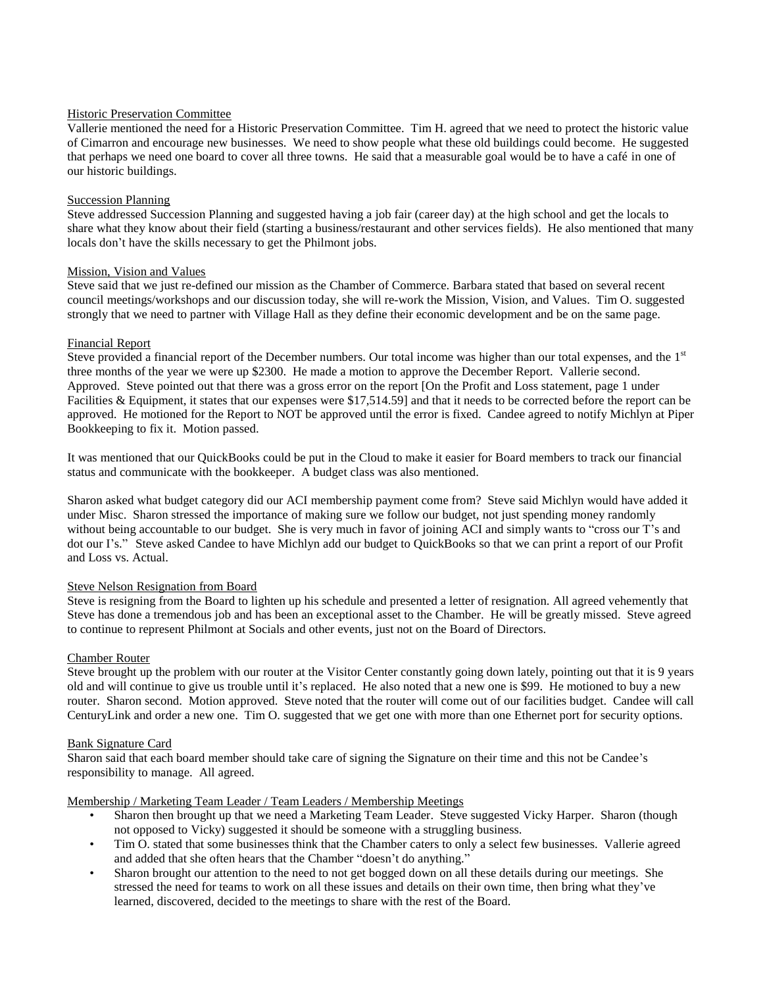# Historic Preservation Committee

Vallerie mentioned the need for a Historic Preservation Committee. Tim H. agreed that we need to protect the historic value of Cimarron and encourage new businesses. We need to show people what these old buildings could become. He suggested that perhaps we need one board to cover all three towns. He said that a measurable goal would be to have a café in one of our historic buildings.

#### Succession Planning

Steve addressed Succession Planning and suggested having a job fair (career day) at the high school and get the locals to share what they know about their field (starting a business/restaurant and other services fields). He also mentioned that many locals don't have the skills necessary to get the Philmont jobs.

## Mission, Vision and Values

Steve said that we just re-defined our mission as the Chamber of Commerce. Barbara stated that based on several recent council meetings/workshops and our discussion today, she will re-work the Mission, Vision, and Values. Tim O. suggested strongly that we need to partner with Village Hall as they define their economic development and be on the same page.

## Financial Report

Steve provided a financial report of the December numbers. Our total income was higher than our total expenses, and the 1<sup>st</sup> three months of the year we were up \$2300. He made a motion to approve the December Report. Vallerie second. Approved. Steve pointed out that there was a gross error on the report [On the Profit and Loss statement, page 1 under Facilities & Equipment, it states that our expenses were \$17,514.59] and that it needs to be corrected before the report can be approved. He motioned for the Report to NOT be approved until the error is fixed. Candee agreed to notify Michlyn at Piper Bookkeeping to fix it. Motion passed.

It was mentioned that our QuickBooks could be put in the Cloud to make it easier for Board members to track our financial status and communicate with the bookkeeper. A budget class was also mentioned.

Sharon asked what budget category did our ACI membership payment come from? Steve said Michlyn would have added it under Misc. Sharon stressed the importance of making sure we follow our budget, not just spending money randomly without being accountable to our budget. She is very much in favor of joining ACI and simply wants to "cross our T's and dot our I's." Steve asked Candee to have Michlyn add our budget to QuickBooks so that we can print a report of our Profit and Loss vs. Actual.

# Steve Nelson Resignation from Board

Steve is resigning from the Board to lighten up his schedule and presented a letter of resignation. All agreed vehemently that Steve has done a tremendous job and has been an exceptional asset to the Chamber. He will be greatly missed. Steve agreed to continue to represent Philmont at Socials and other events, just not on the Board of Directors.

# Chamber Router

Steve brought up the problem with our router at the Visitor Center constantly going down lately, pointing out that it is 9 years old and will continue to give us trouble until it's replaced. He also noted that a new one is \$99. He motioned to buy a new router. Sharon second. Motion approved. Steve noted that the router will come out of our facilities budget. Candee will call CenturyLink and order a new one. Tim O. suggested that we get one with more than one Ethernet port for security options.

#### Bank Signature Card

Sharon said that each board member should take care of signing the Signature on their time and this not be Candee's responsibility to manage. All agreed.

#### Membership / Marketing Team Leader / Team Leaders / Membership Meetings

- Sharon then brought up that we need a Marketing Team Leader. Steve suggested Vicky Harper. Sharon (though not opposed to Vicky) suggested it should be someone with a struggling business.
- Tim O. stated that some businesses think that the Chamber caters to only a select few businesses. Vallerie agreed and added that she often hears that the Chamber "doesn't do anything."
- Sharon brought our attention to the need to not get bogged down on all these details during our meetings. She stressed the need for teams to work on all these issues and details on their own time, then bring what they've learned, discovered, decided to the meetings to share with the rest of the Board.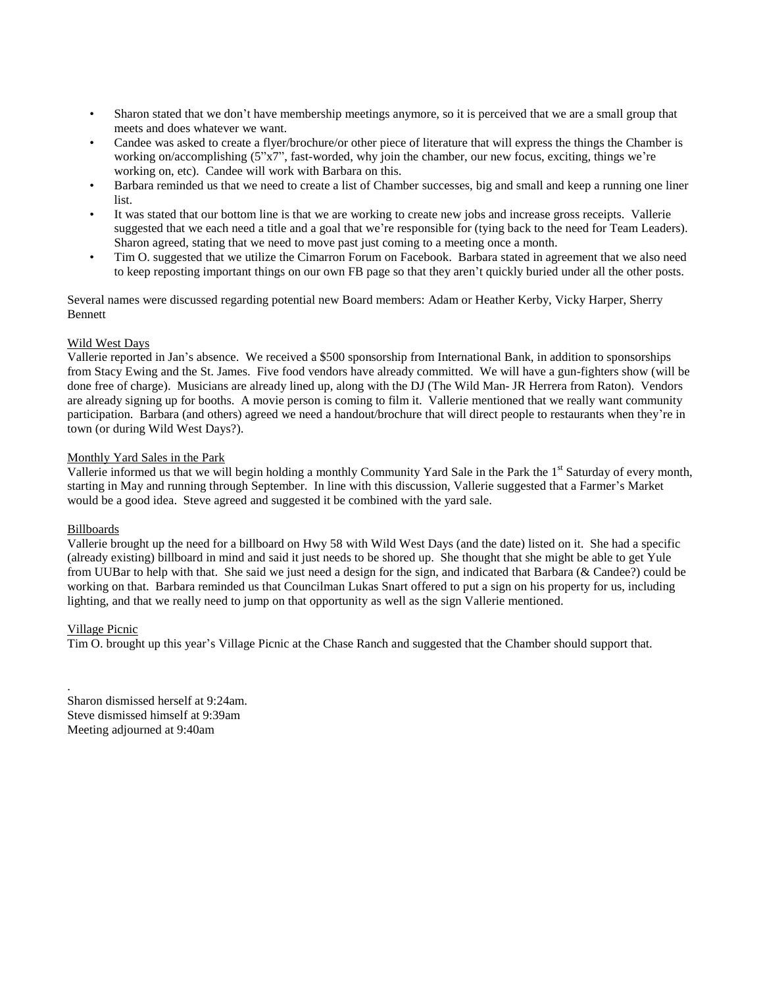- Sharon stated that we don't have membership meetings anymore, so it is perceived that we are a small group that meets and does whatever we want.
- Candee was asked to create a flyer/brochure/or other piece of literature that will express the things the Chamber is working on/accomplishing (5"x7", fast-worded, why join the chamber, our new focus, exciting, things we're working on, etc). Candee will work with Barbara on this.
- Barbara reminded us that we need to create a list of Chamber successes, big and small and keep a running one liner list.
- It was stated that our bottom line is that we are working to create new jobs and increase gross receipts. Vallerie suggested that we each need a title and a goal that we're responsible for (tying back to the need for Team Leaders). Sharon agreed, stating that we need to move past just coming to a meeting once a month.
- Tim O. suggested that we utilize the Cimarron Forum on Facebook. Barbara stated in agreement that we also need to keep reposting important things on our own FB page so that they aren't quickly buried under all the other posts.

Several names were discussed regarding potential new Board members: Adam or Heather Kerby, Vicky Harper, Sherry Bennett

## Wild West Days

Vallerie reported in Jan's absence. We received a \$500 sponsorship from International Bank, in addition to sponsorships from Stacy Ewing and the St. James. Five food vendors have already committed. We will have a gun-fighters show (will be done free of charge). Musicians are already lined up, along with the DJ (The Wild Man- JR Herrera from Raton). Vendors are already signing up for booths. A movie person is coming to film it. Vallerie mentioned that we really want community participation. Barbara (and others) agreed we need a handout/brochure that will direct people to restaurants when they're in town (or during Wild West Days?).

## Monthly Yard Sales in the Park

Vallerie informed us that we will begin holding a monthly Community Yard Sale in the Park the 1<sup>st</sup> Saturday of every month, starting in May and running through September. In line with this discussion, Vallerie suggested that a Farmer's Market would be a good idea. Steve agreed and suggested it be combined with the yard sale.

# Billboards

Vallerie brought up the need for a billboard on Hwy 58 with Wild West Days (and the date) listed on it. She had a specific (already existing) billboard in mind and said it just needs to be shored up. She thought that she might be able to get Yule from UUBar to help with that. She said we just need a design for the sign, and indicated that Barbara (& Candee?) could be working on that. Barbara reminded us that Councilman Lukas Snart offered to put a sign on his property for us, including lighting, and that we really need to jump on that opportunity as well as the sign Vallerie mentioned.

# Village Picnic

.

Tim O. brought up this year's Village Picnic at the Chase Ranch and suggested that the Chamber should support that.

Sharon dismissed herself at 9:24am. Steve dismissed himself at 9:39am Meeting adjourned at 9:40am